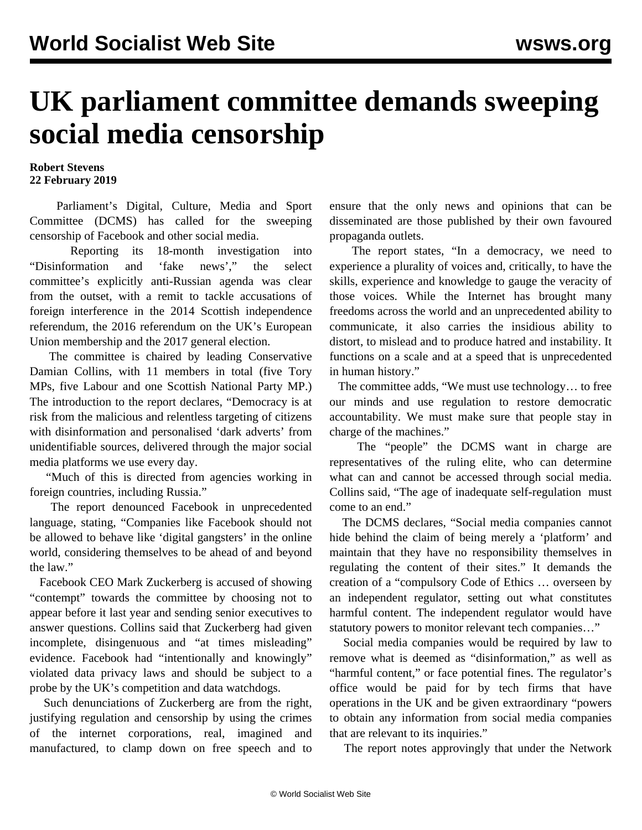## **UK parliament committee demands sweeping social media censorship**

## **Robert Stevens 22 February 2019**

 Parliament's Digital, Culture, Media and Sport Committee (DCMS) has called for the sweeping censorship of Facebook and other social media.

 Reporting its 18-month investigation into "Disinformation and 'fake news'," the select committee's explicitly anti-Russian agenda was clear from the outset, with a remit to tackle accusations of foreign interference in the 2014 Scottish independence referendum, the 2016 referendum on the UK's European Union membership and the 2017 general election.

 The committee is chaired by leading Conservative Damian Collins, with 11 members in total (five Tory MPs, five Labour and one Scottish National Party MP.) The introduction to the report declares, "Democracy is at risk from the malicious and relentless targeting of citizens with disinformation and personalised 'dark adverts' from unidentifiable sources, delivered through the major social media platforms we use every day.

 "Much of this is directed from agencies working in foreign countries, including Russia."

 The report denounced Facebook in unprecedented language, stating, "Companies like Facebook should not be allowed to behave like 'digital gangsters' in the online world, considering themselves to be ahead of and beyond the law."

 Facebook CEO Mark Zuckerberg is accused of showing "contempt" towards the committee by choosing not to appear before it last year and sending senior executives to answer questions. Collins said that Zuckerberg had given incomplete, disingenuous and "at times misleading" evidence. Facebook had "intentionally and knowingly" violated data privacy laws and should be subject to a probe by the UK's competition and data watchdogs.

 Such denunciations of Zuckerberg are from the right, justifying regulation and censorship by using the crimes of the internet corporations, real, imagined and manufactured, to clamp down on free speech and to ensure that the only news and opinions that can be disseminated are those published by their own favoured propaganda outlets.

 The report states, "In a democracy, we need to experience a plurality of voices and, critically, to have the skills, experience and knowledge to gauge the veracity of those voices. While the Internet has brought many freedoms across the world and an unprecedented ability to communicate, it also carries the insidious ability to distort, to mislead and to produce hatred and instability. It functions on a scale and at a speed that is unprecedented in human history."

 The committee adds, "We must use technology… to free our minds and use regulation to restore democratic accountability. We must make sure that people stay in charge of the machines."

 The "people" the DCMS want in charge are representatives of the ruling elite, who can determine what can and cannot be accessed through social media. Collins said, "The age of [inadequate self-regulation](https://www.ft.com/content/04ff3448-2e20-11e9-8744-e7016697f225) must come to an end."

 The DCMS declares, "Social media companies cannot hide behind the claim of being merely a 'platform' and maintain that they have no responsibility themselves in regulating the content of their sites." It demands the creation of a "compulsory Code of Ethics … overseen by an independent regulator, setting out what constitutes harmful content. The independent regulator would have statutory powers to monitor relevant tech companies…"

 Social media companies would be required by law to remove what is deemed as "disinformation," as well as "harmful content," or face potential fines. The regulator's office would be paid for by tech firms that have operations in the UK and be given extraordinary "powers to obtain any information from social media companies that are relevant to its inquiries."

The report notes approvingly that under the [Network](/en/articles/2018/01/04/netz-j04.html)